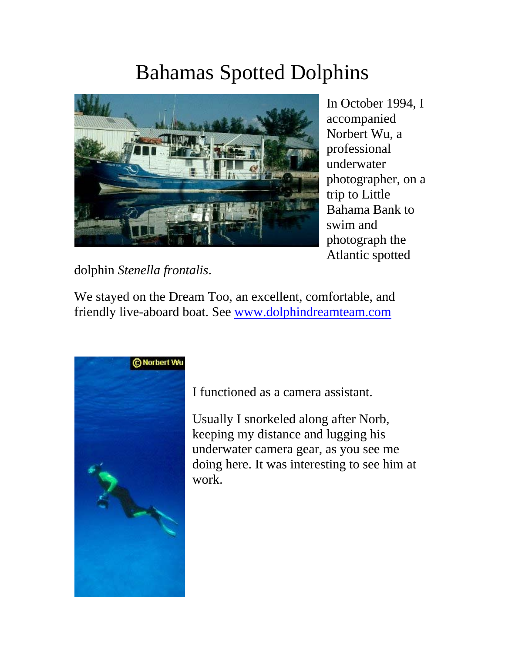## Bahamas Spotted Dolphins



In October 1994, I accompanied Norbert Wu, a professional underwater photographer, on a trip to Little Bahama Bank to swim and photograph the Atlantic spotted

dolphin *Stenella frontalis*.

We stayed on the Dream Too, an excellent, comfortable, and friendly live-aboard boat. See www.dolphindreamteam.com



I functioned as a camera assistant.

Usually I snorkeled along after Norb, keeping my distance and lugging his underwater camera gear, as you see me doing here. It was interesting to see him at work.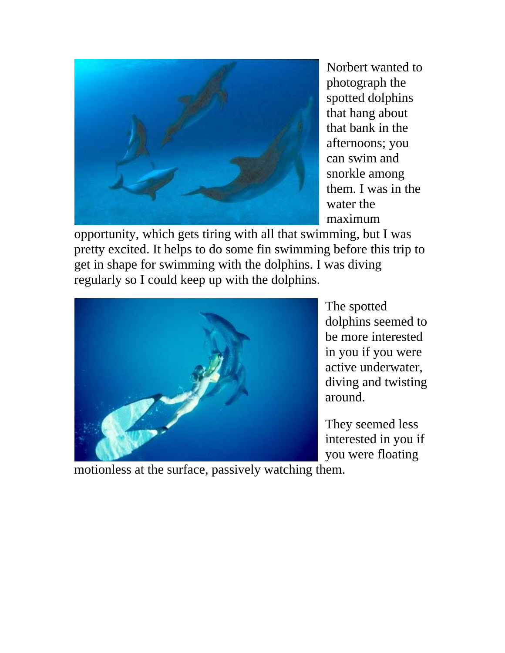

Norbert wanted to photograph the spotted dolphins that hang about that bank in the afternoons; you can swim and snorkle among them. I was in the water the maximum

opportunity, which gets tiring with all that swimming, but I was pretty excited. It helps to do some fin swimming before this trip to get in shape for swimming with the dolphins. I was diving regularly so I could keep up with the dolphins.



The spotted dolphins seemed to be more interested in you if you were active underwater, diving and twisting around.

They seemed less interested in you if you were floating

motionless at the surface, passively watching them.